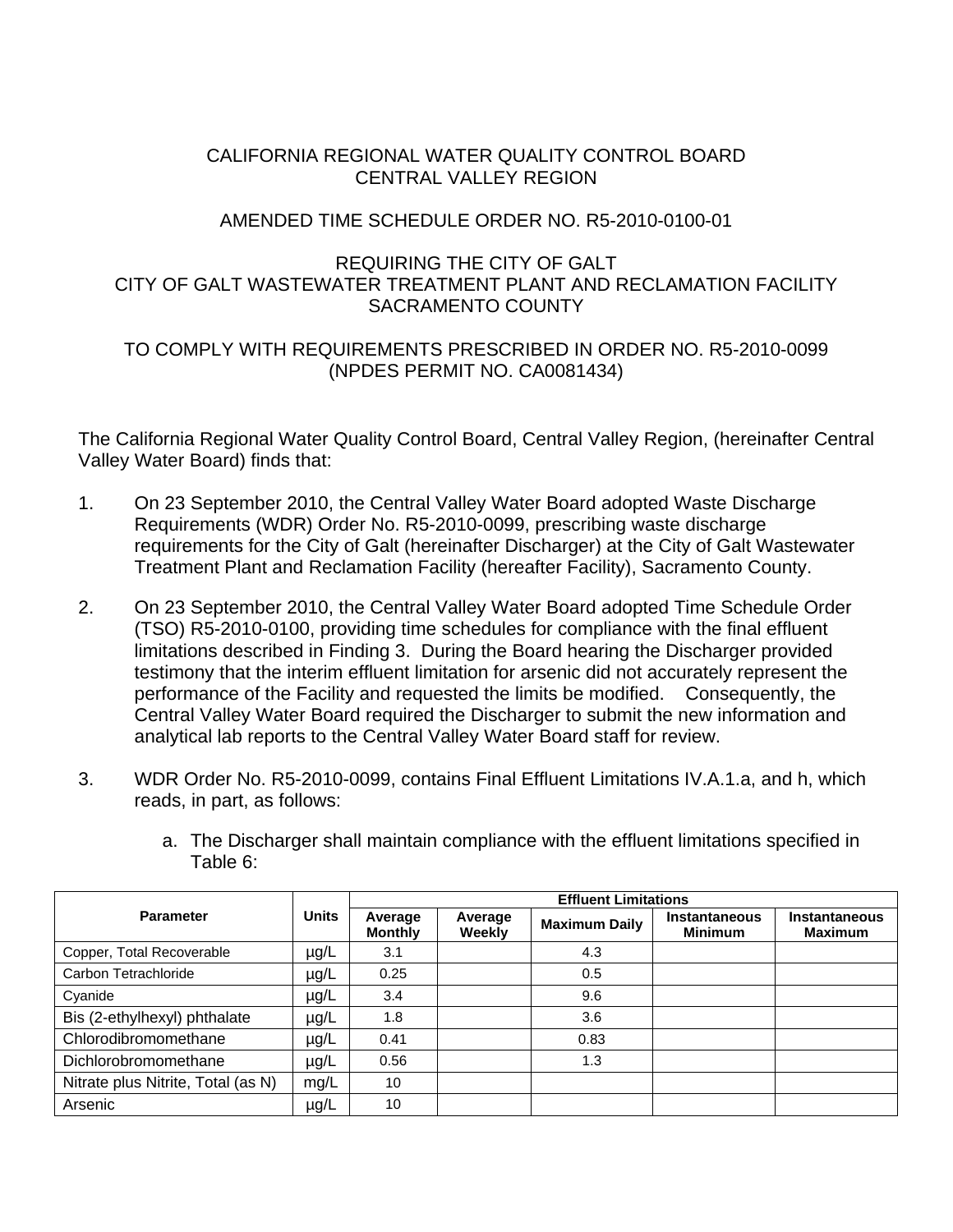# CALIFORNIA REGIONAL WATER QUALITY CONTROL BOARD CENTRAL VALLEY REGION

### AMENDED TIME SCHEDULE ORDER NO. R5-2010-0100-01

# REQUIRING THE CITY OF GALT CITY OF GALT WASTEWATER TREATMENT PLANT AND RECLAMATION FACILITY SACRAMENTO COUNTY

# TO COMPLY WITH REQUIREMENTS PRESCRIBED IN ORDER NO. R5-2010-0099 (NPDES PERMIT NO. CA0081434)

The California Regional Water Quality Control Board, Central Valley Region, (hereinafter Central Valley Water Board) finds that:

- 1. On 23 September 2010, the Central Valley Water Board adopted Waste Discharge Requirements (WDR) Order No. R5-2010-0099, prescribing waste discharge requirements for the City of Galt (hereinafter Discharger) at the City of Galt Wastewater Treatment Plant and Reclamation Facility (hereafter Facility), Sacramento County.
- 2. On 23 September 2010, the Central Valley Water Board adopted Time Schedule Order (TSO) R5-2010-0100, providing time schedules for compliance with the final effluent limitations described in Finding 3. During the Board hearing the Discharger provided testimony that the interim effluent limitation for arsenic did not accurately represent the performance of the Facility and requested the limits be modified. Consequently, the Central Valley Water Board required the Discharger to submit the new information and analytical lab reports to the Central Valley Water Board staff for review.
- 3. WDR Order No. R5-2010-0099, contains Final Effluent Limitations IV.A.1.a, and h, which reads, in part, as follows:

|                                    | <b>Units</b> | <b>Effluent Limitations</b> |                   |                      |                                 |                                        |  |
|------------------------------------|--------------|-----------------------------|-------------------|----------------------|---------------------------------|----------------------------------------|--|
| <b>Parameter</b>                   |              | Average<br><b>Monthly</b>   | Average<br>Weekly | <b>Maximum Daily</b> | Instantaneous<br><b>Minimum</b> | <b>Instantaneous</b><br><b>Maximum</b> |  |
| Copper, Total Recoverable          | µg/L         | 3.1                         |                   | 4.3                  |                                 |                                        |  |
| Carbon Tetrachloride               | $\mu$ g/L    | 0.25                        |                   | 0.5                  |                                 |                                        |  |
| Cyanide                            | $\mu$ g/L    | 3.4                         |                   | 9.6                  |                                 |                                        |  |
| Bis (2-ethylhexyl) phthalate       | $\mu$ g/L    | 1.8                         |                   | 3.6                  |                                 |                                        |  |
| Chlorodibromomethane               | $\mu$ g/L    | 0.41                        |                   | 0.83                 |                                 |                                        |  |
| Dichlorobromomethane               | $\mu$ g/L    | 0.56                        |                   | 1.3                  |                                 |                                        |  |
| Nitrate plus Nitrite, Total (as N) | mg/L         | 10                          |                   |                      |                                 |                                        |  |
| Arsenic                            | $\mu$ g/L    | 10                          |                   |                      |                                 |                                        |  |

a. The Discharger shall maintain compliance with the effluent limitations specified in Table 6: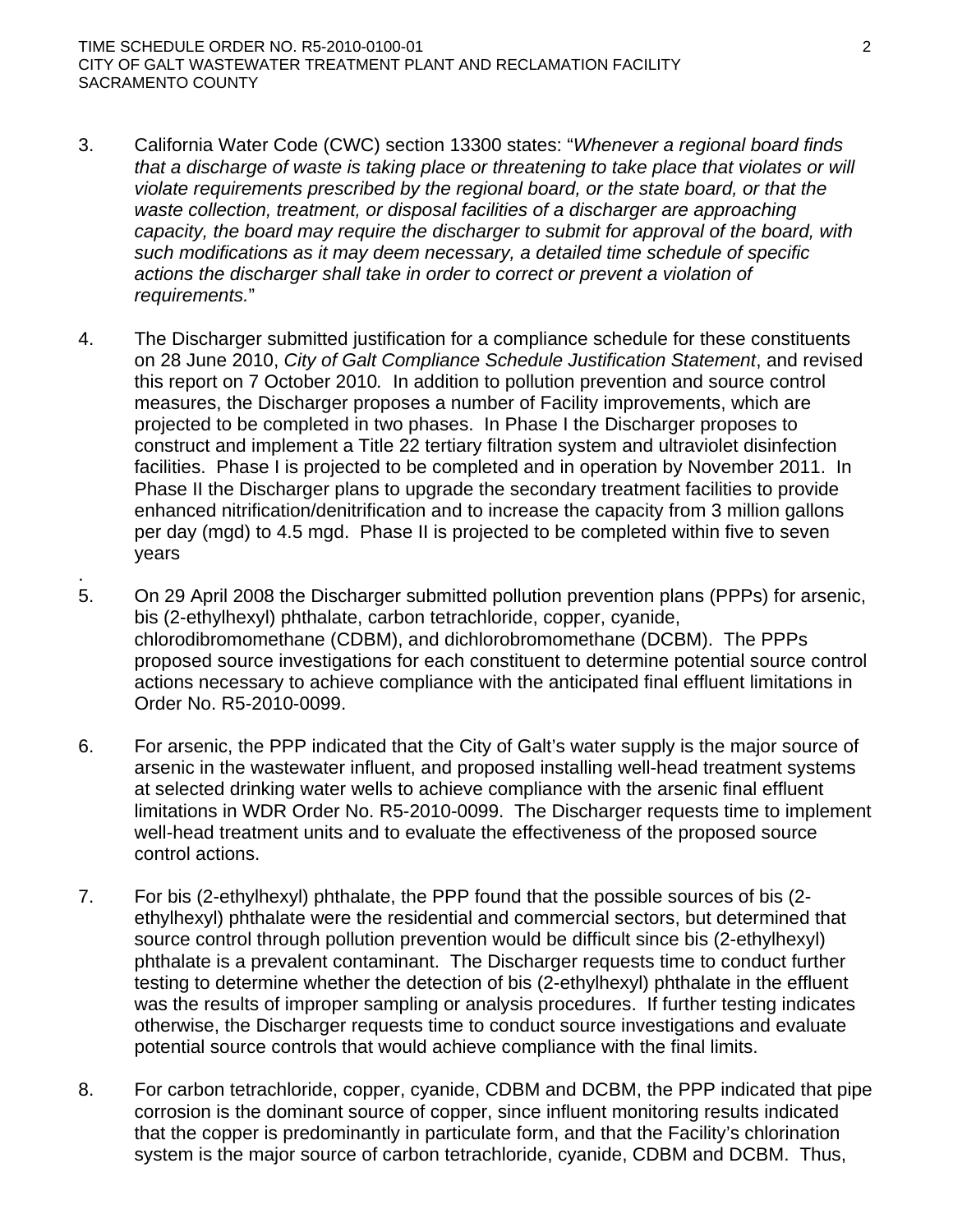TIME SCHEDULE ORDER NO. R5-2010-0100-01 2 CITY OF GALT WASTEWATER TREATMENT PLANT AND RECLAMATION FACILITY SACRAMENTO COUNTY

.

- 3. California Water Code (CWC) section 13300 states: "*Whenever a regional board finds that a discharge of waste is taking place or threatening to take place that violates or will violate requirements prescribed by the regional board, or the state board, or that the*  waste collection, treatment, or disposal facilities of a discharger are approaching *capacity, the board may require the discharger to submit for approval of the board, with such modifications as it may deem necessary, a detailed time schedule of specific actions the discharger shall take in order to correct or prevent a violation of requirements.*"
- 4. The Discharger submitted justification for a compliance schedule for these constituents on 28 June 2010, *City of Galt Compliance Schedule Justification Statement*, and revised this report on 7 October 2010*.* In addition to pollution prevention and source control measures, the Discharger proposes a number of Facility improvements, which are projected to be completed in two phases. In Phase I the Discharger proposes to construct and implement a Title 22 tertiary filtration system and ultraviolet disinfection facilities. Phase I is projected to be completed and in operation by November 2011. In Phase II the Discharger plans to upgrade the secondary treatment facilities to provide enhanced nitrification/denitrification and to increase the capacity from 3 million gallons per day (mgd) to 4.5 mgd. Phase II is projected to be completed within five to seven years
- 5. On 29 April 2008 the Discharger submitted pollution prevention plans (PPPs) for arsenic, bis (2-ethylhexyl) phthalate, carbon tetrachloride, copper, cyanide, chlorodibromomethane (CDBM), and dichlorobromomethane (DCBM). The PPPs proposed source investigations for each constituent to determine potential source control actions necessary to achieve compliance with the anticipated final effluent limitations in Order No. R5-2010-0099.
- 6. For arsenic, the PPP indicated that the City of Galt's water supply is the major source of arsenic in the wastewater influent, and proposed installing well-head treatment systems at selected drinking water wells to achieve compliance with the arsenic final effluent limitations in WDR Order No. R5-2010-0099. The Discharger requests time to implement well-head treatment units and to evaluate the effectiveness of the proposed source control actions.
- 7. For bis (2-ethylhexyl) phthalate, the PPP found that the possible sources of bis (2 ethylhexyl) phthalate were the residential and commercial sectors, but determined that source control through pollution prevention would be difficult since bis (2-ethylhexyl) phthalate is a prevalent contaminant. The Discharger requests time to conduct further testing to determine whether the detection of bis (2-ethylhexyl) phthalate in the effluent was the results of improper sampling or analysis procedures. If further testing indicates otherwise, the Discharger requests time to conduct source investigations and evaluate potential source controls that would achieve compliance with the final limits.
- 8. For carbon tetrachloride, copper, cyanide, CDBM and DCBM, the PPP indicated that pipe corrosion is the dominant source of copper, since influent monitoring results indicated that the copper is predominantly in particulate form, and that the Facility's chlorination system is the major source of carbon tetrachloride, cyanide, CDBM and DCBM. Thus,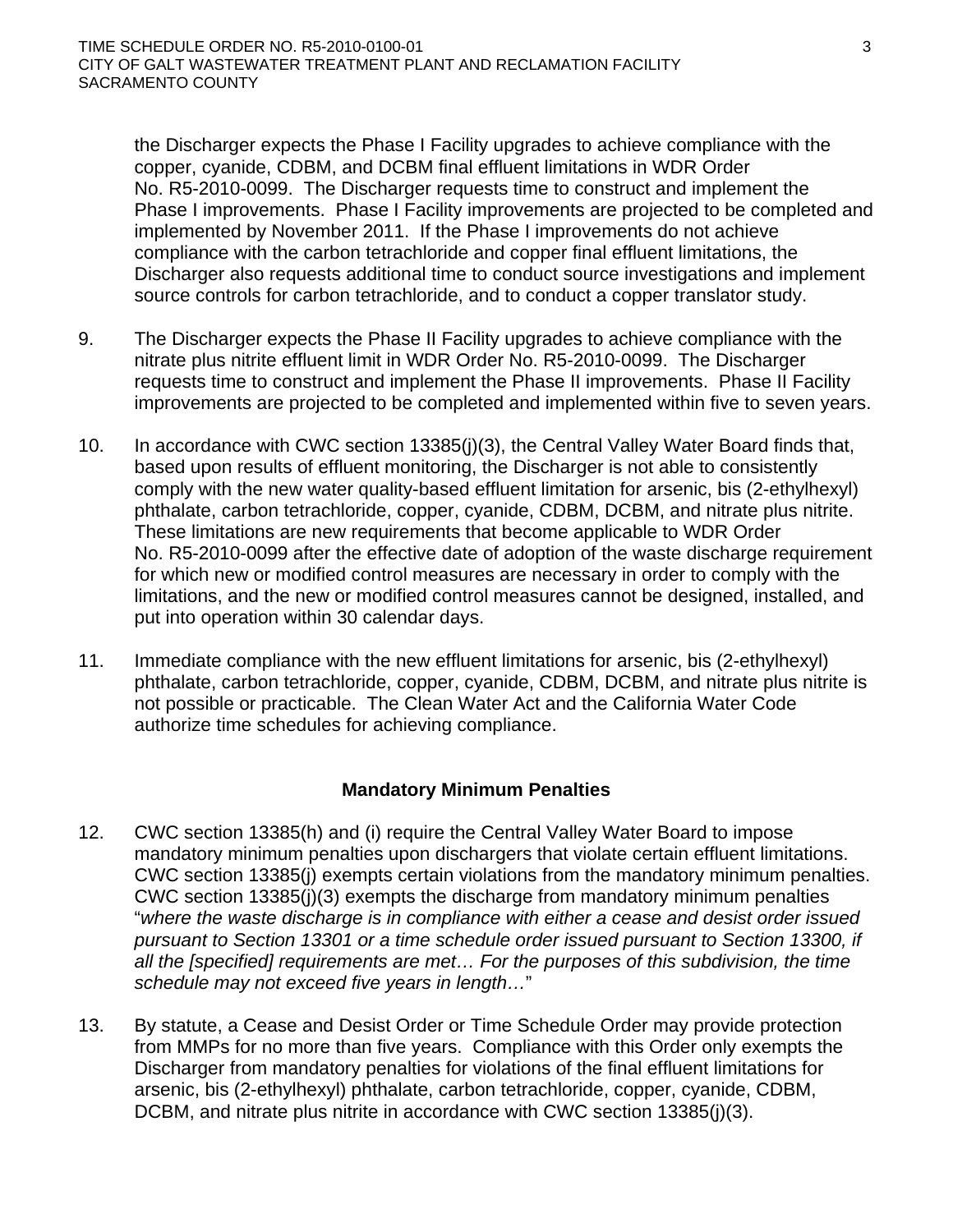the Discharger expects the Phase I Facility upgrades to achieve compliance with the copper, cyanide, CDBM, and DCBM final effluent limitations in WDR Order No. R5-2010-0099. The Discharger requests time to construct and implement the Phase I improvements. Phase I Facility improvements are projected to be completed and implemented by November 2011. If the Phase I improvements do not achieve compliance with the carbon tetrachloride and copper final effluent limitations, the Discharger also requests additional time to conduct source investigations and implement source controls for carbon tetrachloride, and to conduct a copper translator study.

- 9. The Discharger expects the Phase II Facility upgrades to achieve compliance with the nitrate plus nitrite effluent limit in WDR Order No. R5-2010-0099. The Discharger requests time to construct and implement the Phase II improvements. Phase II Facility improvements are projected to be completed and implemented within five to seven years.
- 10. In accordance with CWC section 13385(j)(3), the Central Valley Water Board finds that, based upon results of effluent monitoring, the Discharger is not able to consistently comply with the new water quality-based effluent limitation for arsenic, bis (2-ethylhexyl) phthalate, carbon tetrachloride, copper, cyanide, CDBM, DCBM, and nitrate plus nitrite. These limitations are new requirements that become applicable to WDR Order No. R5-2010-0099 after the effective date of adoption of the waste discharge requirement for which new or modified control measures are necessary in order to comply with the limitations, and the new or modified control measures cannot be designed, installed, and put into operation within 30 calendar days.
- 11. Immediate compliance with the new effluent limitations for arsenic, bis (2-ethylhexyl) phthalate, carbon tetrachloride, copper, cyanide, CDBM, DCBM, and nitrate plus nitrite is not possible or practicable. The Clean Water Act and the California Water Code authorize time schedules for achieving compliance.

### **Mandatory Minimum Penalties**

- 12. CWC section 13385(h) and (i) require the Central Valley Water Board to impose mandatory minimum penalties upon dischargers that violate certain effluent limitations. CWC section 13385(j) exempts certain violations from the mandatory minimum penalties. CWC section 13385(j)(3) exempts the discharge from mandatory minimum penalties "*where the waste discharge is in compliance with either a cease and desist order issued pursuant to Section 13301 or a time schedule order issued pursuant to Section 13300, if all the [specified] requirements are met… For the purposes of this subdivision, the time schedule may not exceed five years in length…*"
- 13. By statute, a Cease and Desist Order or Time Schedule Order may provide protection from MMPs for no more than five years. Compliance with this Order only exempts the Discharger from mandatory penalties for violations of the final effluent limitations for arsenic, bis (2-ethylhexyl) phthalate, carbon tetrachloride, copper, cyanide, CDBM, DCBM, and nitrate plus nitrite in accordance with CWC section 13385(j)(3).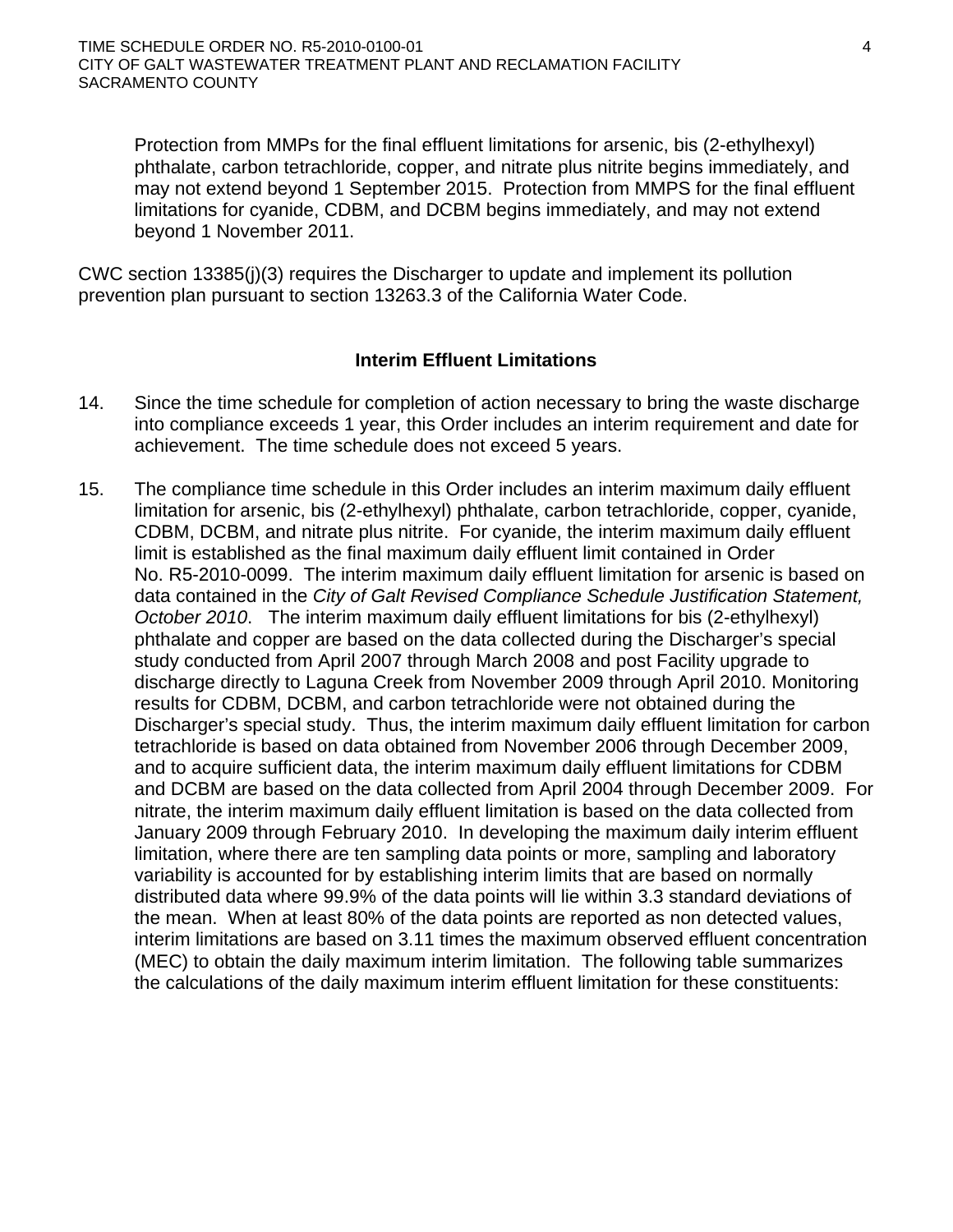Protection from MMPs for the final effluent limitations for arsenic, bis (2-ethylhexyl) phthalate, carbon tetrachloride, copper, and nitrate plus nitrite begins immediately, and may not extend beyond 1 September 2015. Protection from MMPS for the final effluent limitations for cyanide, CDBM, and DCBM begins immediately, and may not extend beyond 1 November 2011.

CWC section 13385(j)(3) requires the Discharger to update and implement its pollution prevention plan pursuant to section 13263.3 of the California Water Code.

### **Interim Effluent Limitations**

- 14. Since the time schedule for completion of action necessary to bring the waste discharge into compliance exceeds 1 year, this Order includes an interim requirement and date for achievement. The time schedule does not exceed 5 years.
- 15. The compliance time schedule in this Order includes an interim maximum daily effluent limitation for arsenic, bis (2-ethylhexyl) phthalate, carbon tetrachloride, copper, cyanide, CDBM, DCBM, and nitrate plus nitrite. For cyanide, the interim maximum daily effluent limit is established as the final maximum daily effluent limit contained in Order No. R5-2010-0099. The interim maximum daily effluent limitation for arsenic is based on data contained in the *City of Galt Revised Compliance Schedule Justification Statement, October 2010*. The interim maximum daily effluent limitations for bis (2-ethylhexyl) phthalate and copper are based on the data collected during the Discharger's special study conducted from April 2007 through March 2008 and post Facility upgrade to discharge directly to Laguna Creek from November 2009 through April 2010. Monitoring results for CDBM, DCBM, and carbon tetrachloride were not obtained during the Discharger's special study. Thus, the interim maximum daily effluent limitation for carbon tetrachloride is based on data obtained from November 2006 through December 2009, and to acquire sufficient data, the interim maximum daily effluent limitations for CDBM and DCBM are based on the data collected from April 2004 through December 2009. For nitrate, the interim maximum daily effluent limitation is based on the data collected from January 2009 through February 2010. In developing the maximum daily interim effluent limitation, where there are ten sampling data points or more, sampling and laboratory variability is accounted for by establishing interim limits that are based on normally distributed data where 99.9% of the data points will lie within 3.3 standard deviations of the mean. When at least 80% of the data points are reported as non detected values, interim limitations are based on 3.11 times the maximum observed effluent concentration (MEC) to obtain the daily maximum interim limitation. The following table summarizes the calculations of the daily maximum interim effluent limitation for these constituents: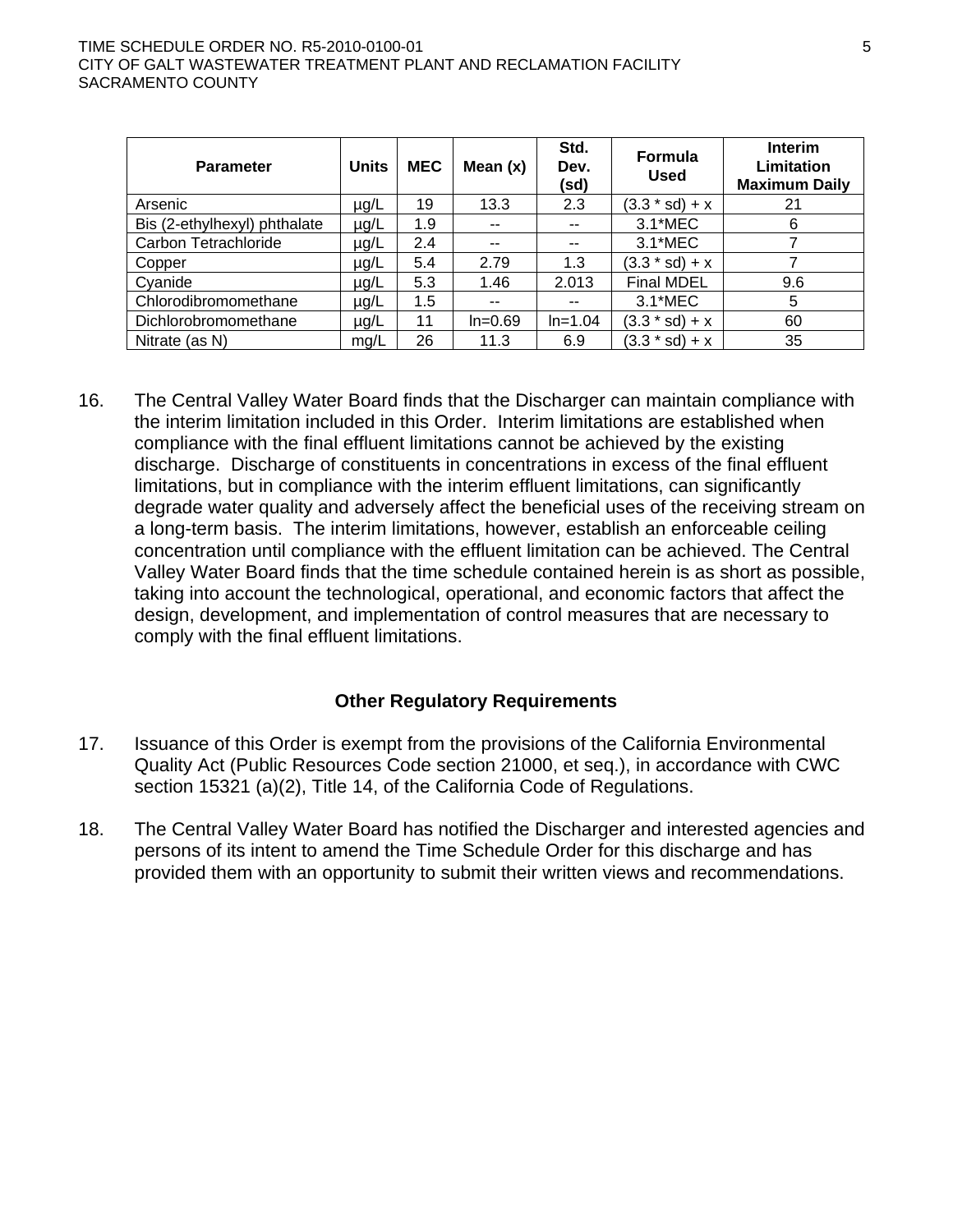#### TIME SCHEDULE ORDER NO. R5-2010-0100-01 5 CITY OF GALT WASTEWATER TREATMENT PLANT AND RECLAMATION FACILITY SACRAMENTO COUNTY

| <b>Parameter</b>             | <b>Units</b> | <b>MEC</b> | Mean $(x)$ | Std.<br>Dev.<br>(sd)     | <b>Formula</b><br><b>Used</b> | <b>Interim</b><br><b>Limitation</b><br><b>Maximum Daily</b> |
|------------------------------|--------------|------------|------------|--------------------------|-------------------------------|-------------------------------------------------------------|
| Arsenic                      | $\mu$ g/L    | 19         | 13.3       | 2.3                      | $(3.3 * sd) + x$              | 21                                                          |
| Bis (2-ethylhexyl) phthalate | $\mu$ g/L    | 1.9        | $- -$      | $\overline{\phantom{a}}$ | 3.1*MEC                       | 6                                                           |
| Carbon Tetrachloride         | µg/L         | 2.4        | $-$        | $\overline{\phantom{a}}$ | 3.1*MEC                       |                                                             |
| Copper                       | $\mu$ g/L    | 5.4        | 2.79       | 1.3                      | $(3.3 * sd) + x$              |                                                             |
| Cyanide                      | $\mu$ g/L    | 5.3        | 1.46       | 2.013                    | <b>Final MDEL</b>             | 9.6                                                         |
| Chlorodibromomethane         | µg/L         | 1.5        | $- -$      | $- -$                    | 3.1*MEC                       | 5                                                           |
| Dichlorobromomethane         | $\mu$ g/L    | 11         | $In=0.69$  | $In=1.04$                | $(3.3 * sd) + x$              | 60                                                          |
| Nitrate (as N)               | mg/L         | 26         | 11.3       | 6.9                      | $(3.3 * sd) + x$              | 35                                                          |

16. The Central Valley Water Board finds that the Discharger can maintain compliance with the interim limitation included in this Order. Interim limitations are established when compliance with the final effluent limitations cannot be achieved by the existing discharge. Discharge of constituents in concentrations in excess of the final effluent limitations, but in compliance with the interim effluent limitations, can significantly degrade water quality and adversely affect the beneficial uses of the receiving stream on a long-term basis. The interim limitations, however, establish an enforceable ceiling concentration until compliance with the effluent limitation can be achieved. The Central Valley Water Board finds that the time schedule contained herein is as short as possible, taking into account the technological, operational, and economic factors that affect the design, development, and implementation of control measures that are necessary to comply with the final effluent limitations.

### **Other Regulatory Requirements**

- 17. Issuance of this Order is exempt from the provisions of the California Environmental Quality Act (Public Resources Code section 21000, et seq.), in accordance with CWC section 15321 (a)(2), Title 14, of the California Code of Regulations.
- 18. The Central Valley Water Board has notified the Discharger and interested agencies and persons of its intent to amend the Time Schedule Order for this discharge and has provided them with an opportunity to submit their written views and recommendations.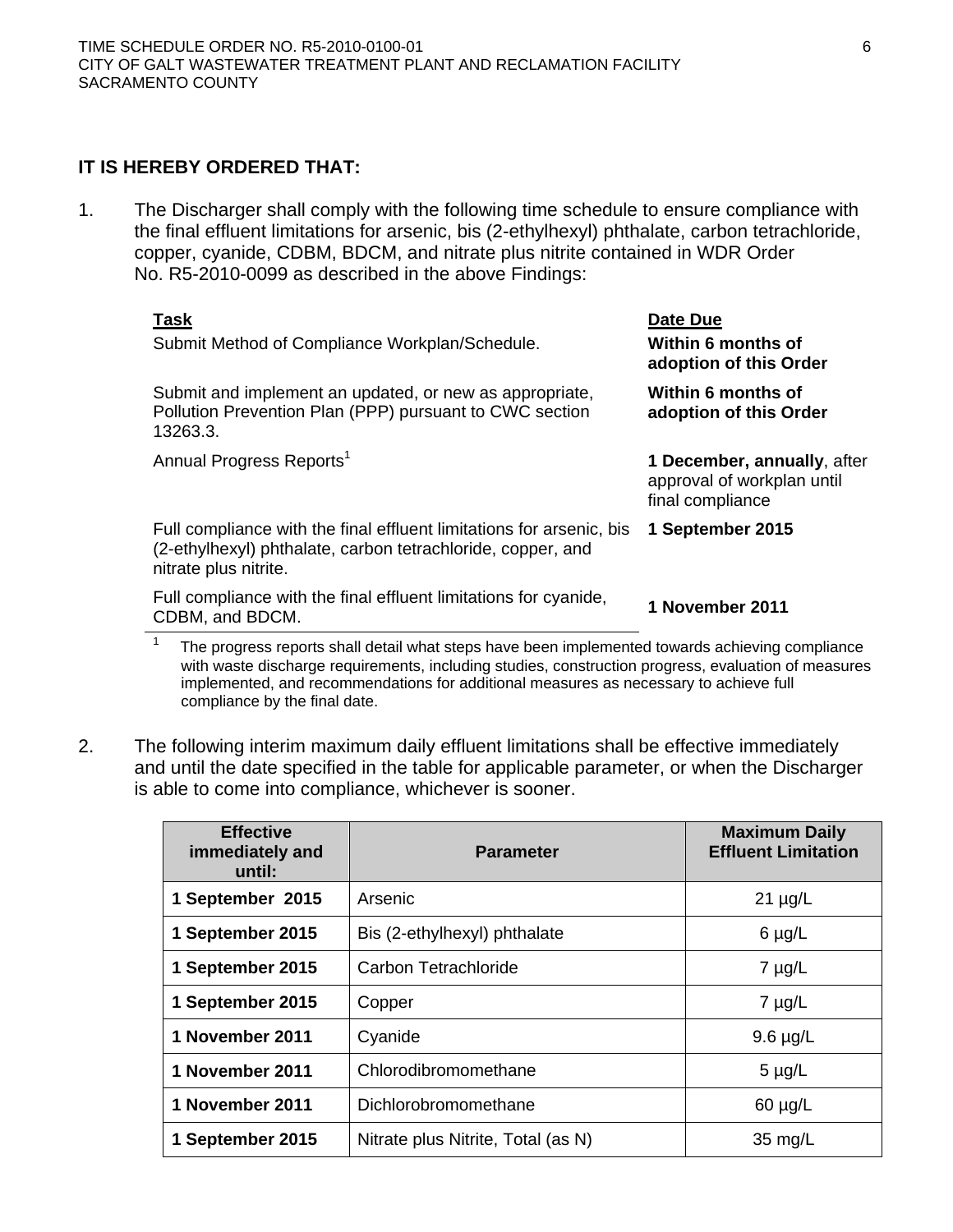# **IT IS HEREBY ORDERED THAT:**

1. The Discharger shall comply with the following time schedule to ensure compliance with the final effluent limitations for arsenic, bis (2-ethylhexyl) phthalate, carbon tetrachloride, copper, cyanide, CDBM, BDCM, and nitrate plus nitrite contained in WDR Order No. R5-2010-0099 as described in the above Findings:

|                                                                                                 | <u>Task</u><br>Submit Method of Compliance Workplan/Schedule.                                                                                                | Date Due<br>Within 6 months of<br>adoption of this Order                      |  |  |
|-------------------------------------------------------------------------------------------------|--------------------------------------------------------------------------------------------------------------------------------------------------------------|-------------------------------------------------------------------------------|--|--|
|                                                                                                 | Submit and implement an updated, or new as appropriate,<br>Pollution Prevention Plan (PPP) pursuant to CWC section<br>13263.3.                               | Within 6 months of<br>adoption of this Order                                  |  |  |
|                                                                                                 | Annual Progress Reports <sup>1</sup>                                                                                                                         | 1 December, annually, after<br>approval of workplan until<br>final compliance |  |  |
|                                                                                                 | Full compliance with the final effluent limitations for arsenic, bis<br>(2-ethylhexyl) phthalate, carbon tetrachloride, copper, and<br>nitrate plus nitrite. | 1 September 2015                                                              |  |  |
|                                                                                                 | Full compliance with the final effluent limitations for cyanide,<br>CDBM, and BDCM.                                                                          | 1 November 2011                                                               |  |  |
| The progress reports shall detail what steps have been implemented towards achieving compliance |                                                                                                                                                              |                                                                               |  |  |

1 The progress reports shall detail what steps have been implemented towards achieving compliance with waste discharge requirements, including studies, construction progress, evaluation of measures implemented, and recommendations for additional measures as necessary to achieve full compliance by the final date.

2. The following interim maximum daily effluent limitations shall be effective immediately and until the date specified in the table for applicable parameter, or when the Discharger is able to come into compliance, whichever is sooner.

| <b>Effective</b><br>immediately and<br>until: | <b>Parameter</b>                   | <b>Maximum Daily</b><br><b>Effluent Limitation</b> |
|-----------------------------------------------|------------------------------------|----------------------------------------------------|
| 1 September 2015                              | Arsenic                            | $21 \mu g/L$                                       |
| 1 September 2015                              | Bis (2-ethylhexyl) phthalate       | $6 \mu g/L$                                        |
| 1 September 2015                              | <b>Carbon Tetrachloride</b>        | $7 \mu g/L$                                        |
| 1 September 2015                              | Copper                             | $7 \mu g/L$                                        |
| 1 November 2011                               | Cyanide                            | $9.6 \mu g/L$                                      |
| 1 November 2011<br>Chlorodibromomethane       |                                    | $5 \mu g/L$                                        |
| 1 November 2011<br>Dichlorobromomethane       |                                    | $60 \mu g/L$                                       |
| 1 September 2015                              | Nitrate plus Nitrite, Total (as N) | 35 mg/L                                            |